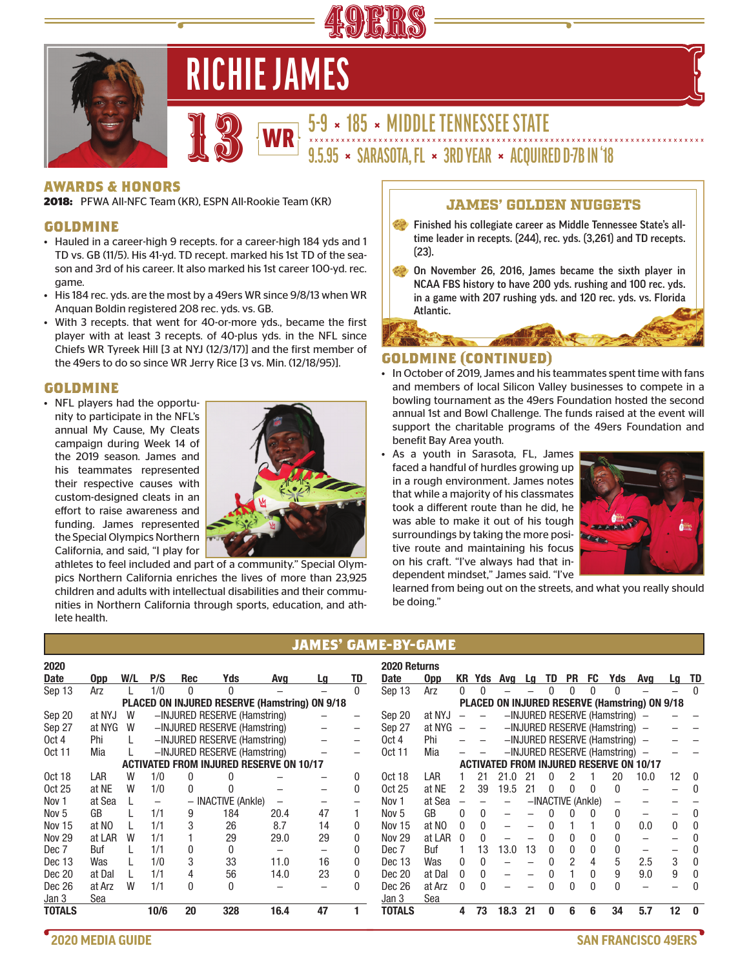

# **RICHIE JAMES**



**5-9 × 185 × MIDDLE TENNESSEE STATE** 13 **9.5.95 × SARASOTA, FL × 3RD YEAR × ACQUIRED D-7B IN '18** WR

#### **AWARDS & HONORS**

**2018:** PFWA All-NFC Team (KR), ESPN All-Rookie Team (KR)

#### **GOLDMINE**

- Hauled in a career-high 9 recepts. for a career-high 184 yds and 1 TD vs. GB (11/5). His 41-yd. TD recept. marked his 1st TD of the season and 3rd of his career. It also marked his 1st career 100-yd. rec. game.
- His 184 rec. yds. are the most by a 49ers WR since 9/8/13 when WR Anquan Boldin registered 208 rec. yds. vs. GB.
- With 3 recepts. that went for 40-or-more yds., became the first player with at least 3 recepts. of 40-plus yds. in the NFL since Chiefs WR Tyreek Hill [3 at NYJ (12/3/17)] and the first member of the 49ers to do so since WR Jerry Rice [3 vs. Min. (12/18/95)].

#### **GOLDMINE**

• NFL players had the opportunity to participate in the NFL's annual My Cause, My Cleats campaign during Week 14 of the 2019 season. James and his teammates represented their respective causes with custom-designed cleats in an effort to raise awareness and funding. James represented the Special Olympics Northern California, and said, "I play for



athletes to feel included and part of a community." Special Olympics Northern California enriches the lives of more than 23,925 children and adults with intellectual disabilities and their communities in Northern California through sports, education, and athlete health.

# JAMES' GOLDEN NUGGETS

- Finished his collegiate career as Middle Tennessee State's alltime leader in recepts. (244), rec. yds. (3,261) and TD recepts. (23).
- On November 26, 2016, James became the sixth player in NCAA FBS history to have 200 yds. rushing and 100 rec. yds. in a game with 207 rushing yds. and 120 rec. yds. vs. Florida Atlantic.

### **GOLDMINE (CONTINUED)**

- In October of 2019, James and his teammates spent time with fans and members of local Silicon Valley businesses to compete in a bowling tournament as the 49ers Foundation hosted the second annual 1st and Bowl Challenge. The funds raised at the event will support the charitable programs of the 49ers Foundation and benefit Bay Area youth.
- As a youth in Sarasota, FL, James faced a handful of hurdles growing up in a rough environment. James notes that while a majority of his classmates took a different route than he did, he was able to make it out of his tough surroundings by taking the more positive route and maintaining his focus on his craft. "I've always had that independent mindset," James said. "I've



learned from being out on the streets, and what you really should be doing."

# **JAMES' GAME-BY-GAME**

| 2020             |            |     |      |              |                                                |      |    |              | 2020 Returns  |            |     |          |        |    |    |                   |    |                                                |                                                      |                   |          |
|------------------|------------|-----|------|--------------|------------------------------------------------|------|----|--------------|---------------|------------|-----|----------|--------|----|----|-------------------|----|------------------------------------------------|------------------------------------------------------|-------------------|----------|
| <b>Date</b>      | <b>Opp</b> | W/L | P/S  | Rec          | Yds                                            | Avg  | Lq | TD           | Date          | <b>Opp</b> | KR. | Yds      | Avg Lg |    | TD | <b>PR</b>         | FC | Yds                                            | Avg                                                  |                   | Lg TD    |
| Sep 13           | Arz        |     | 1/0  | 0            | 0                                              |      |    | $\Omega$     | Sep 13        | Arz        | 0   |          |        |    |    |                   |    |                                                |                                                      |                   | $\Omega$ |
|                  |            |     |      |              | PLACED ON INJURED RESERVE (Hamstring) ON 9/18  |      |    |              |               |            |     |          |        |    |    |                   |    |                                                | <b>PLACED ON INJURED RESERVE (Hamstring) ON 9/18</b> |                   |          |
| Sep 20           | at NYJ     | W   |      |              | -INJURED RESERVE (Hamstring)                   |      |    |              | Sep 20        | at NYJ     |     |          |        |    |    |                   |    | $-$ INJURED RESERVE (Hamstring) $-$            |                                                      |                   |          |
| Sep 27           | at NYG     | W   |      |              | -INJURED RESERVE (Hamstring)                   |      |    |              | Sep 27        | at NYG     |     |          |        |    |    |                   |    | $-$ INJURED RESERVE (Hamstring) $-$            |                                                      |                   |          |
| Oct 4            | Phi        |     |      |              | -INJURED RESERVE (Hamstring)                   |      |    |              | Oct 4         | Phi        |     |          |        |    |    |                   |    | $-$ INJURED RESERVE (Hamstring) $-$            |                                                      |                   |          |
| 0ct 11           | Mia        |     |      |              | -INJURED RESERVE (Hamstring)                   |      |    |              | <b>Oct 11</b> | Mia        |     |          |        |    |    |                   |    | $-$ INJURED RESERVE (Hamstring) $-$            |                                                      |                   |          |
|                  |            |     |      |              | <b>ACTIVATED FROM INJURED RESERVE ON 10/17</b> |      |    |              |               |            |     |          |        |    |    |                   |    | <b>ACTIVATED FROM INJURED RESERVE ON 10/17</b> |                                                      |                   |          |
| <b>Oct 18</b>    | LAR        | W   | 1/0  | <sup>0</sup> |                                                |      |    | 0            | <b>Oct 18</b> | LAR        |     | 21       | 21.0   | 21 |    |                   |    | 20                                             | 10.0                                                 | 12                | $\Omega$ |
| 0ct 25           | at NE      | W   | 1/0  | 0            |                                                |      |    | 0            | 0ct 25        | at NE      |     | 39       | 19.5   | 21 |    |                   |    | <sup>0</sup>                                   |                                                      |                   |          |
| Nov <sub>1</sub> | at Sea     |     |      |              | - INACTIVE (Ankle)                             |      |    |              | Nov 1         | at Sea     |     |          |        |    |    | -INACTIVE (Ankle) |    |                                                |                                                      |                   |          |
| Nov <sub>5</sub> | GB         |     | 1/1  | 9            | 184                                            | 20.4 | 47 |              | Nov 5         | GB         |     | $\Omega$ |        |    |    |                   |    | 0                                              |                                                      |                   |          |
| Nov 15           | at NO      |     | 1/1  | 3            | 26                                             | 8.7  | 14 | 0            | <b>Nov 15</b> | at NO      | 0   | 0        |        |    |    |                   |    | 0                                              | 0.0                                                  | 0                 |          |
| <b>Nov 29</b>    | at LAR     | W   | 1/1  |              | 29                                             | 29.0 | 29 |              | <b>Nov 29</b> | at LAR     |     |          |        |    |    |                   |    |                                                |                                                      |                   |          |
| Dec 7            | Buf        |     | 1/1  | 0            | 0                                              |      |    | N            | Dec 7         | Buf        |     | 13       | 13.0   | 13 |    |                   |    |                                                |                                                      |                   |          |
| Dec 13           | Was        |     | 1/0  | 3            | 33                                             | 11.0 | 16 | <sup>0</sup> | Dec 13        | Was        | U   |          |        |    |    |                   |    | 5                                              | 2.5                                                  | 3                 |          |
| Dec 20           | at Dal     |     | 1/1  | 4            | 56                                             | 14.0 | 23 | 0            | Dec 20        | at Dal     | 0   | 0        |        |    |    |                   | 0  | 9                                              | 9.0                                                  | 9                 | $\Omega$ |
| Dec 26           | at Arz     | W   | 1/1  | 0            | 0                                              |      |    |              | Dec 26        | at Arz     |     |          |        |    |    |                   |    |                                                |                                                      |                   |          |
| Jan 3            | Sea        |     |      |              |                                                |      |    |              | Jan 3         | Sea        |     |          |        |    |    |                   |    |                                                |                                                      |                   |          |
| <b>TOTALS</b>    |            |     | 10/6 | 20           | 328                                            | 16.4 | 47 |              | TOTALS        |            | 4   | 73       | 18.3   | 21 |    | հ                 | 6  | 34                                             | 5.7                                                  | $12 \overline{ }$ | - 0      |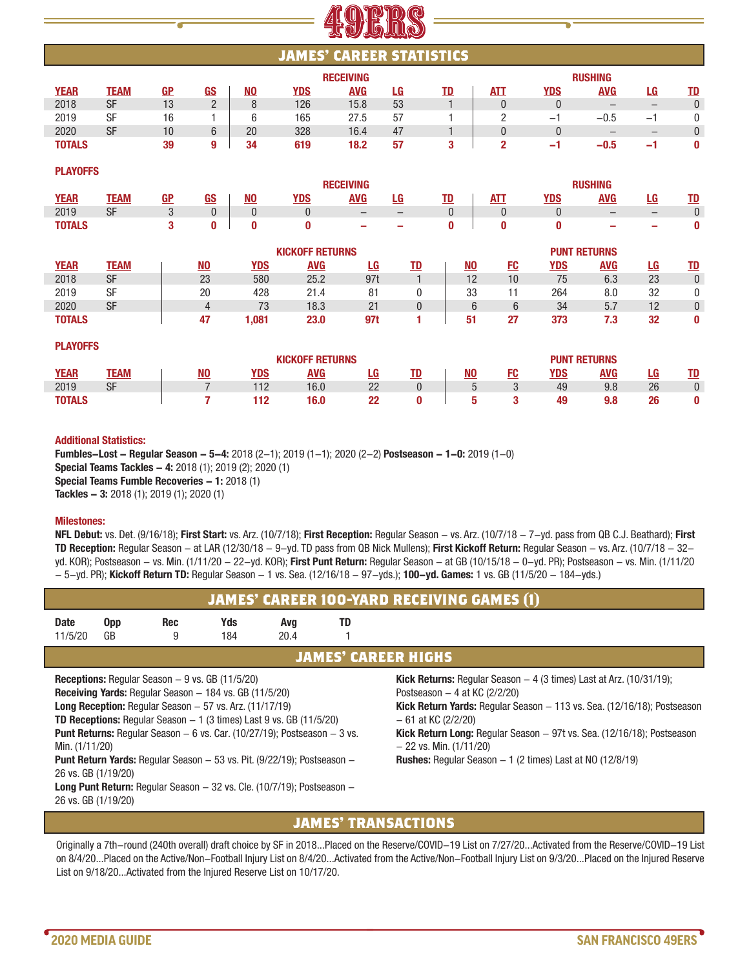# **JAMES' CAREER STATISTICS**

|               |             |                      |               |           |            | <b>RECEIVING</b> |     | <b>RUSHING</b> |            |                          |                   |                          |             |  |  |  |
|---------------|-------------|----------------------|---------------|-----------|------------|------------------|-----|----------------|------------|--------------------------|-------------------|--------------------------|-------------|--|--|--|
| <b>YEAR</b>   | <b>TEAM</b> | <b>GP</b>            | GS            | <b>NO</b> | <b>YDS</b> | <b>AVG</b>       | LG. | TD             | <b>ATT</b> | YDS                      | AVG               | LG                       | TD          |  |  |  |
| 2018          | SF          | $\overline{1}$<br>١J | $\Omega$<br>– | O         | 126        | 15.8             | 53  |                |            |                          |                   |                          | $\mathbf 0$ |  |  |  |
| 2019          | SF          | 16                   |               |           | 165        | 27.5             | 57  |                |            | -                        | $-0.5$            | $\overline{\phantom{0}}$ |             |  |  |  |
| 2020          | SF          | 10                   | $\sim$<br>v   | 20        | 328        | 16.4             | 47  |                |            |                          | $\qquad \qquad -$ |                          | 0           |  |  |  |
| <b>TOTALS</b> |             | 39                   | Ω             | 34        | 619        | 18.2             | 57  |                |            | $\overline{\phantom{a}}$ | $-0.5$            | $\overline{\phantom{a}}$ | 0           |  |  |  |

**PLAYOFFS**

**PLAYOFFS** 

|  |               |           |    |            |                        |            | <b>RECEIVING</b>         |                          |   |            |            |            | <b>RUSHING</b>      |              |           |
|--|---------------|-----------|----|------------|------------------------|------------|--------------------------|--------------------------|---|------------|------------|------------|---------------------|--------------|-----------|
|  | <b>YEAR</b>   | TEAM      | GP | <u>GS</u>  | <u>NO</u>              | <u>YDS</u> | <b>AVG</b>               | LG                       |   |            | <b>ATT</b> | <u>YDS</u> | AVG                 | LG           | <u>TD</u> |
|  | 2019          | <b>SF</b> | U  |            |                        | υ          | $\qquad \qquad -$        |                          | U |            |            | U          | $\qquad \qquad -$   | -            |           |
|  | <b>TOTALS</b> |           |    |            |                        | 0          | $\overline{\phantom{a}}$ | $\overline{\phantom{a}}$ |   |            | 0          | 0          | $\sim$              | -            | 0         |
|  |               |           |    |            | <b>KICKOFF RETURNS</b> |            |                          |                          |   |            |            |            | <b>PUNT RETURNS</b> |              |           |
|  | <b>VEAD</b>   | TEAM      |    | <b>NIO</b> | <b>VDC</b>             | <b>AMC</b> | $\mathbf{r}$             | TD.                      |   | <b>NIO</b> | <b>CO</b>  | <b>VDC</b> | <b>AVO</b>          | $\mathbf{r}$ | <b>TD</b> |

| <b>YEAR</b>   | TEAM | NO | YDS       | <u>AVG</u> | LG             | TD | <u>NO</u> | FC | <u>YDS</u> | <u>avg</u> | LG. | <u>TD</u> |
|---------------|------|----|-----------|------------|----------------|----|-----------|----|------------|------------|-----|-----------|
| 2018          | SF   | 23 | 580       | 25.2       | 97t            |    | 12        | 10 |            | 6.3        | 23  |           |
| 2019          | SF   | 20 | 428       | 21.4       | 81             |    | 33        |    | 264        | 8.0        | 32  | 0         |
| 2020          | SF   |    | 72<br>7 J | 18.3       | 21<br>$\sim$ 1 |    |           |    | 34         | 57<br>J.I  | 12  |           |
| <b>TOTALS</b> |      |    | .081      | 23.0       | 971            |    | 51        | 27 | 373        | 72<br>. .  | 32  | 0         |

| . LAIVII V  |      |                |     |                     |    |    |           |    |     |     |    |           |  |
|-------------|------|----------------|-----|---------------------|----|----|-----------|----|-----|-----|----|-----------|--|
|             |      |                |     | <b>PUNT RETURNS</b> |    |    |           |    |     |     |    |           |  |
| <b>YEAR</b> | TEAM | N <sub>0</sub> | YDS | AVG                 | LG | TD | <u>NO</u> | FC | YDS | AVG | LG | <u>TD</u> |  |
| 2019        | SF   |                | 112 | 16.0                | つつ | n  | h         | n  | 49  | 9.8 | 26 |           |  |
| TOTALS      |      |                | 112 | 16.0                | 22 | Λ  | h         | 3  | 49  | 9.8 | 26 |           |  |

#### **Additional Statistics:**

**Fumbles-Lost - Regular Season - 5-4:** 2018 (2-1); 2019 (1-1); 2020 (2-2) **Postseason - 1-0:** 2019 (1-0) **Special Teams Tackles - 4:** 2018 (1); 2019 (2); 2020 (1) **Special Teams Fumble Recoveries - 1:** 2018 (1) **Tackles - 3:** 2018 (1); 2019 (1); 2020 (1)

#### **Milestones:**

**NFL Debut:** vs. Det. (9/16/18); **First Start:** vs. Arz. (10/7/18); **First Reception:** Regular Season - vs. Arz. (10/7/18 - 7-yd. pass from QB C.J. Beathard); **First TD Reception:** Regular Season - at LAR (12/30/18 - 9-yd. TD pass from QB Nick Mullens); **First Kickoff Return:** Regular Season - vs. Arz. (10/7/18 - 32 yd. KOR); Postseason - vs. Min. (1/11/20 - 22-yd. KOR); **First Punt Return:** Regular Season - at GB (10/15/18 - 0-yd. PR); Postseason - vs. Min. (1/11/20 - 5-yd. PR); **Kickoff Return TD:** Regular Season - 1 vs. Sea. (12/16/18 - 97-yds.); **100-yd. Games:** 1 vs. GB (11/5/20 - 184-yds.)

|                                            | <b>JAMES' CAREER 100-YARD RECEIVING GAMES (1)</b> |                                                                                                                                                                                                |            |                                                                                                                                                                                                                                                       |                            |                                                                                                                                                                                                                                                                                                                                                                                                                      |  |  |  |  |  |  |  |  |
|--------------------------------------------|---------------------------------------------------|------------------------------------------------------------------------------------------------------------------------------------------------------------------------------------------------|------------|-------------------------------------------------------------------------------------------------------------------------------------------------------------------------------------------------------------------------------------------------------|----------------------------|----------------------------------------------------------------------------------------------------------------------------------------------------------------------------------------------------------------------------------------------------------------------------------------------------------------------------------------------------------------------------------------------------------------------|--|--|--|--|--|--|--|--|
| <b>Date</b><br>11/5/20                     | <b>Opp</b><br>GB                                  | <b>Rec</b><br>9                                                                                                                                                                                | Yds<br>184 | Avg<br>20.4                                                                                                                                                                                                                                           | TD                         |                                                                                                                                                                                                                                                                                                                                                                                                                      |  |  |  |  |  |  |  |  |
|                                            |                                                   |                                                                                                                                                                                                |            |                                                                                                                                                                                                                                                       | <b>JAMES' CAREER HIGHS</b> |                                                                                                                                                                                                                                                                                                                                                                                                                      |  |  |  |  |  |  |  |  |
| Min. (1/11/20)                             |                                                   | <b>Receptions:</b> Regular Season $-9$ vs. GB (11/5/20)<br><b>Receiving Yards:</b> Regular Season $-184$ vs. GB (11/5/20)<br><b>Long Reception:</b> Regular Season $-57$ vs. Arz. $(11/17/19)$ |            | <b>TD Receptions:</b> Regular Season $-1$ (3 times) Last 9 vs. GB (11/5/20)<br><b>Punt Returns:</b> Regular Season $-6$ vs. Car. (10/27/19); Postseason $-3$ vs.<br><b>Punt Return Yards:</b> Regular Season $-53$ vs. Pit. (9/22/19); Postseason $-$ |                            | <b>Kick Returns:</b> Regular Season $-$ 4 (3 times) Last at Arz. (10/31/19);<br>Postseason $-4$ at KC (2/2/20)<br><b>Kick Return Yards:</b> Regular Season $-113$ vs. Sea. $(12/16/18)$ ; Postseason<br>$-61$ at KC (2/2/20)<br><b>Kick Return Long:</b> Regular Season $-97t$ vs. Sea. $(12/16/18)$ ; Postseason<br>$-22$ vs. Min. $(1/11/20)$<br><b>Rushes:</b> Regular Season $-1$ (2 times) Last at NO (12/8/19) |  |  |  |  |  |  |  |  |
| 26 vs. GB (1/19/20)<br>26 vs. GB (1/19/20) |                                                   |                                                                                                                                                                                                |            | <b>Long Punt Return:</b> Regular Season $-32$ vs. Cle. (10/7/19); Postseason $-$                                                                                                                                                                      |                            |                                                                                                                                                                                                                                                                                                                                                                                                                      |  |  |  |  |  |  |  |  |

# **JAMES' TRANSACTIONS**

Originally a 7th-round (240th overall) draft choice by SF in 2018...Placed on the Reserve/COVID-19 List on 7/27/20...Activated from the Reserve/COVID-19 List on 8/4/20...Placed on the Active/Non-Football Injury List on 8/4/20...Activated from the Active/Non-Football Injury List on 9/3/20...Placed on the Injured Reserve List on 9/18/20...Activated from the Injured Reserve List on 10/17/20.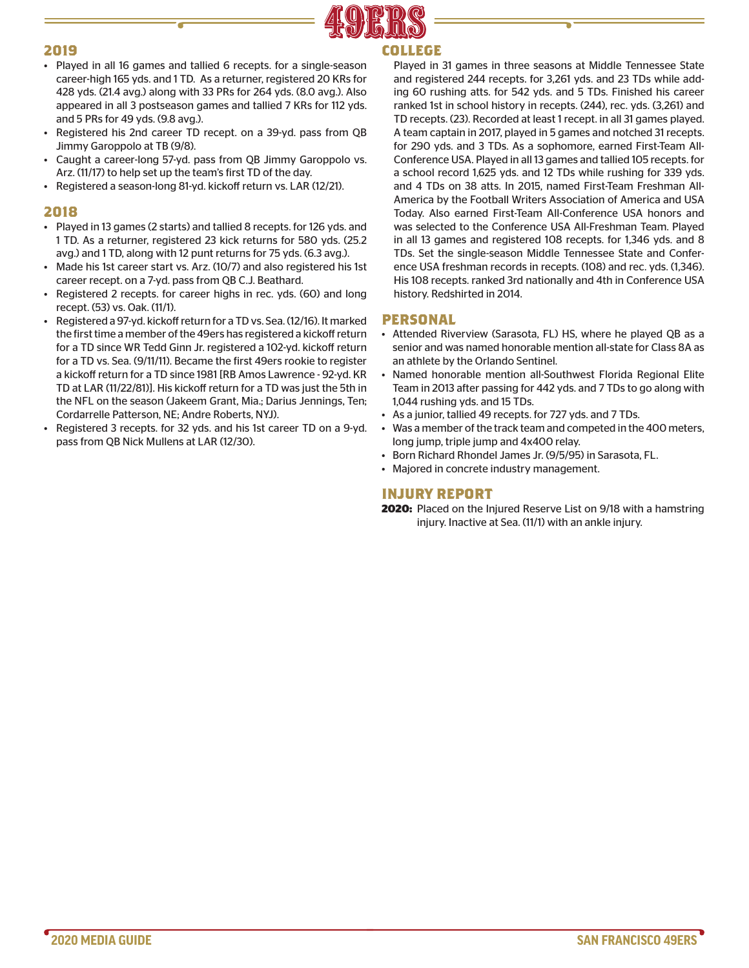

#### **2019**

- Played in all 16 games and tallied 6 recepts. for a single-season career-high 165 yds. and 1 TD. As a returner, registered 20 KRs for 428 yds. (21.4 avg.) along with 33 PRs for 264 yds. (8.0 avg.). Also appeared in all 3 postseason games and tallied 7 KRs for 112 yds. and 5 PRs for 49 yds. (9.8 avg.).
- Registered his 2nd career TD recept. on a 39-yd. pass from QB Jimmy Garoppolo at TB (9/8).
- Caught a career-long 57-yd. pass from QB Jimmy Garoppolo vs. Arz. (11/17) to help set up the team's first TD of the day.
- Registered a season-long 81-yd. kickoff return vs. LAR (12/21).

#### **2018**

- Played in 13 games (2 starts) and tallied 8 recepts. for 126 yds. and 1 TD. As a returner, registered 23 kick returns for 580 yds. (25.2 avg.) and 1 TD, along with 12 punt returns for 75 yds. (6.3 avg.).
- Made his 1st career start vs. Arz. (10/7) and also registered his 1st career recept. on a 7-yd. pass from QB C.J. Beathard.
- Registered 2 recepts. for career highs in rec. yds. (60) and long recept. (53) vs. Oak. (11/1).
- Registered a 97-yd. kickoff return for a TD vs. Sea. (12/16). It marked the first time a member of the 49ers has registered a kickoff return for a TD since WR Tedd Ginn Jr. registered a 102-yd. kickoff return for a TD vs. Sea. (9/11/11). Became the first 49ers rookie to register a kickoff return for a TD since 1981 [RB Amos Lawrence - 92-yd. KR TD at LAR (11/22/81)]. His kickoff return for a TD was just the 5th in the NFL on the season (Jakeem Grant, Mia.; Darius Jennings, Ten; Cordarrelle Patterson, NE; Andre Roberts, NYJ).
- Registered 3 recepts. for 32 yds. and his 1st career TD on a 9-yd. pass from QB Nick Mullens at LAR (12/30).

# **COLLEGE**

Played in 31 games in three seasons at Middle Tennessee State and registered 244 recepts. for 3,261 yds. and 23 TDs while adding 60 rushing atts. for 542 yds. and 5 TDs. Finished his career ranked 1st in school history in recepts. (244), rec. yds. (3,261) and TD recepts. (23). Recorded at least 1 recept. in all 31 games played. A team captain in 2017, played in 5 games and notched 31 recepts. for 290 yds. and 3 TDs. As a sophomore, earned First-Team All-Conference USA. Played in all 13 games and tallied 105 recepts. for a school record 1,625 yds. and 12 TDs while rushing for 339 yds. and 4 TDs on 38 atts. In 2015, named First-Team Freshman All-America by the Football Writers Association of America and USA Today. Also earned First-Team All-Conference USA honors and was selected to the Conference USA All-Freshman Team. Played in all 13 games and registered 108 recepts. for 1,346 yds. and 8 TDs. Set the single-season Middle Tennessee State and Conference USA freshman records in recepts. (108) and rec. yds. (1,346). His 108 recepts. ranked 3rd nationally and 4th in Conference USA history. Redshirted in 2014.

### **PERSONAL**

- Attended Riverview (Sarasota, FL) HS, where he played QB as a senior and was named honorable mention all-state for Class 8A as an athlete by the Orlando Sentinel.
- Named honorable mention all-Southwest Florida Regional Elite Team in 2013 after passing for 442 yds. and 7 TDs to go along with 1,044 rushing yds. and 15 TDs.
- As a junior, tallied 49 recepts. for 727 yds. and 7 TDs.
- Was a member of the track team and competed in the 400 meters, long jump, triple jump and 4x400 relay.
- Born Richard Rhondel James Jr. (9/5/95) in Sarasota, FL.
- Majored in concrete industry management.

#### **INJURY REPORT**

**2020:** Placed on the Injured Reserve List on 9/18 with a hamstring injury. Inactive at Sea. (11/1) with an ankle injury.